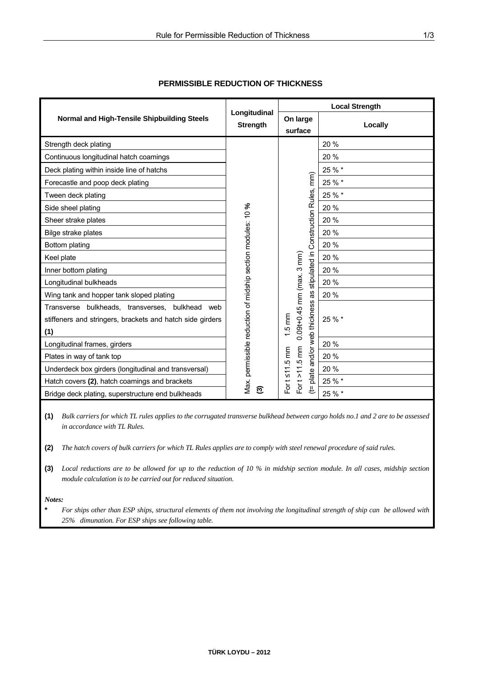|                                                                                                                     | Longitudinal<br><b>Strength</b>                              | <b>Local Strength</b>                                                   |         |
|---------------------------------------------------------------------------------------------------------------------|--------------------------------------------------------------|-------------------------------------------------------------------------|---------|
| Normal and High-Tensile Shipbuilding Steels                                                                         |                                                              | On large<br>surface                                                     | Locally |
| Strength deck plating                                                                                               |                                                              |                                                                         | 20%     |
| Continuous longitudinal hatch coamings                                                                              |                                                              |                                                                         | 20 %    |
| Deck plating within inside line of hatchs                                                                           |                                                              |                                                                         | 25 % *  |
| Forecastle and poop deck plating                                                                                    |                                                              | mm)                                                                     | 25 % *  |
| Tween deck plating                                                                                                  |                                                              | <b>Construction Rules,</b>                                              | 25 % *  |
| Side sheel plating                                                                                                  | Vlax. permissible reduction of midship section modules: 10 % |                                                                         | 20 %    |
| Sheer strake plates                                                                                                 |                                                              |                                                                         | 20 %    |
| Bilge strake plates                                                                                                 |                                                              |                                                                         | 20 %    |
| Bottom plating                                                                                                      |                                                              |                                                                         | 20 %    |
| Keel plate                                                                                                          |                                                              | stipulated in                                                           | 20 %    |
| Inner bottom plating                                                                                                |                                                              |                                                                         | 20 %    |
| Longitudinal bulkheads                                                                                              |                                                              |                                                                         | 20 %    |
| Wing tank and hopper tank sloped plating                                                                            |                                                              | 8g                                                                      | 20 %    |
| Transverse bulkheads, transverses, bulkhead web<br>stiffeners and stringers, brackets and hatch side girders<br>(1) |                                                              | $0.09t+0.45$ mm (max. 3 mm)<br>and/or web thickness<br>$1.5 \text{ mm}$ | 25 % *  |
| Longitudinal frames, girders                                                                                        |                                                              |                                                                         | 20 %    |
| Plates in way of tank top                                                                                           |                                                              |                                                                         | 20 %    |
| Underdeck box girders (longitudinal and transversal)                                                                |                                                              | For $t > 11.5$ mm<br>For $t \leq 11.5$ mm                               | 20 %    |
| Hatch covers (2), hatch coamings and brackets                                                                       |                                                              | plate                                                                   | 25 % *  |
| Bridge deck plating, superstructure end bulkheads                                                                   | ව                                                            | £                                                                       | 25 % *  |

## **PERMISSIBLE REDUCTION OF THICKNESS**

**(1)** *Bulk carriers for which TL rules applies to the corrugated transverse bulkhead between cargo holds no.1 and 2 are to be assessed in accordance with TL Rules.* 

**(2)** *The hatch covers of bulk carriers for which TL Rules applies are to comply with steel renewal procedure of said rules.* 

**(3)** *Local reductions are to be allowed for up to the reduction of 10 % in midship section module. In all cases, midship section module calculation is to be carried out for reduced situation.* 

*Notes:* 

**\*** *For ships other than ESP ships, structural elements of them not involving the longitudinal strength of ship can be allowed with 25% dimunation. For ESP ships see following table.*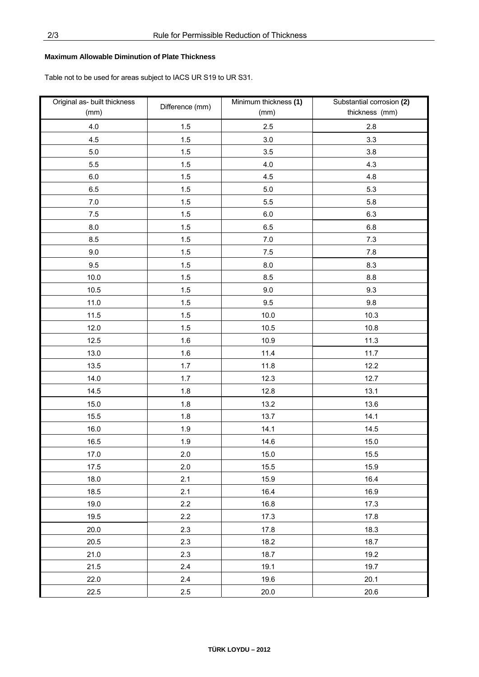## **Maximum Allowable Diminution of Plate Thickness**

Table not to be used for areas subject to IACS UR S19 to UR S31.

| Original as- built thickness<br>(mm) | Difference (mm) | Minimum thickness (1)<br>(mm) | Substantial corrosion (2)<br>thickness (mm) |
|--------------------------------------|-----------------|-------------------------------|---------------------------------------------|
| 4.0                                  | 1.5             | 2.5                           | 2.8                                         |
| 4.5                                  | 1.5             | 3.0                           | 3.3                                         |
| $5.0\,$                              | 1.5             | 3.5                           | 3.8                                         |
| 5.5                                  | 1.5             | 4.0                           | 4.3                                         |
| 6.0                                  | 1.5             | 4.5                           | 4.8                                         |
| 6.5                                  | 1.5             | 5.0                           | 5.3                                         |
| 7.0                                  | 1.5             | 5.5                           | 5.8                                         |
| $7.5$                                | 1.5             | $6.0\,$                       | 6.3                                         |
| $8.0\,$                              | 1.5             | 6.5                           | 6.8                                         |
| 8.5                                  | 1.5             | $7.0$                         | 7.3                                         |
| 9.0                                  | 1.5             | 7.5                           | 7.8                                         |
| 9.5                                  | $1.5$           | 8.0                           | 8.3                                         |
| 10.0                                 | 1.5             | 8.5                           | 8.8                                         |
| 10.5                                 | 1.5             | 9.0                           | 9.3                                         |
| 11.0                                 | 1.5             | 9.5                           | 9.8                                         |
| 11.5                                 | 1.5             | 10.0                          | 10.3                                        |
| 12.0                                 | 1.5             | 10.5                          | 10.8                                        |
| 12.5                                 | 1.6             | 10.9                          | 11.3                                        |
| 13.0                                 | 1.6             | 11.4                          | 11.7                                        |
| 13.5                                 | 1.7             | 11.8                          | 12.2                                        |
| 14.0                                 | 1.7             | 12.3                          | 12.7                                        |
| 14.5                                 | 1.8             | 12.8                          | 13.1                                        |
| 15.0                                 | 1.8             | 13.2                          | 13.6                                        |
| 15.5                                 | 1.8             | 13.7                          | 14.1                                        |
| 16.0                                 | 1.9             | 14.1                          | 14.5                                        |
| 16.5                                 | 1.9             | 14.6                          | 15.0                                        |
| 17.0                                 | 2.0             | 15.0                          | 15.5                                        |
| 17.5                                 | 2.0             | 15.5                          | 15.9                                        |
| 18.0                                 | 2.1             | 15.9                          | 16.4                                        |
| 18.5                                 | 2.1             | 16.4                          | 16.9                                        |
| 19.0                                 | 2.2             | 16.8                          | 17.3                                        |
| 19.5                                 | 2.2             | 17.3                          | 17.8                                        |
| 20.0                                 | 2.3             | 17.8                          | 18.3                                        |
| 20.5                                 | 2.3             | 18.2                          | 18.7                                        |
| 21.0                                 | 2.3             | 18.7                          | 19.2                                        |
| 21.5                                 | 2.4             | 19.1                          | 19.7                                        |
| 22.0                                 | 2.4             | 19.6                          | 20.1                                        |
| 22.5                                 | 2.5             | 20.0                          | 20.6                                        |